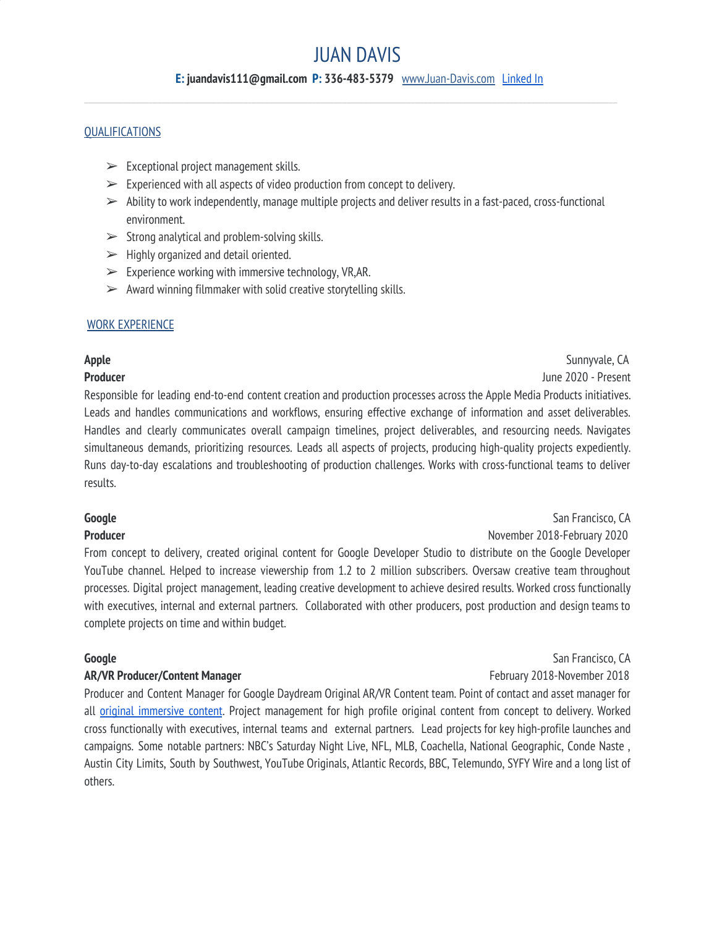# JUAN DAVIS

#### **E: juandavis111@gmail.com P: 336-483-5379** [www.Juan-Davis.com](http://www.juan-davis.com/) [Linked](http://www.linkedin.com/in/juandavis111) In  $\_$  , and the state of the state of the state of the state of the state of the state of the state of the state of the state of the state of the state of the state of the state of the state of the state of the state of the

#### **OUALIFICATIONS**

- $\triangleright$  Exceptional project management skills.
- $\triangleright$  Experienced with all aspects of video production from concept to delivery.
- $\triangleright$  Ability to work independently, manage multiple projects and deliver results in a fast-paced, cross-functional environment.
- $\triangleright$  Strong analytical and problem-solving skills.
- $\triangleright$  Highly organized and detail oriented.
- $\triangleright$  Experience working with immersive technology, VR,AR.
- $\triangleright$  Award winning filmmaker with solid creative storytelling skills.

#### WORK EXPERIENCE

**Apple** Sunnyvale, CA **Producer** June 2020 - Present

Responsible for leading end-to-end content creation and production processes across the Apple Media Products initiatives. Leads and handles communications and workflows, ensuring effective exchange of information and asset deliverables. Handles and clearly communicates overall campaign timelines, project deliverables, and resourcing needs. Navigates simultaneous demands, prioritizing resources. Leads all aspects of projects, producing high-quality projects expediently. Runs day-to-day escalations and troubleshooting of production challenges. Works with cross-functional teams to deliver results.

#### **Google** San Francisco, CA

**Producer** November 2018-February 2020

From concept to delivery, created original content for Google Developer Studio to distribute on the Google Developer YouTube channel. Helped to increase viewership from 1.2 to 2 million subscribers. Oversaw creative team throughout processes. Digital project management, leading creative development to achieve desired results. Worked cross functionally with executives, internal and external partners. Collaborated with other producers, post production and design teams to complete projects on time and within budget.

#### **AR/VR Producer/Content Manager February 2018-November 2018**

Producer and Content Manager for Google Daydream Original AR/VR Content team. Point of contact and asset manager for all original [immersive](https://www.youtube.com/playlist?list=PL88LTZk9kjs74wKZfhTNLMWIa6XKUBJit) content. Project management for high profile original content from concept to delivery. Worked cross functionally with executives, internal teams and external partners. Lead projects for key high-profile launches and campaigns. Some notable partners: NBC's Saturday Night Live, NFL, MLB, Coachella, National Geographic, Conde Naste , Austin City Limits, South by Southwest, YouTube Originals, Atlantic Records, BBC, Telemundo, SYFY Wire and a long list of others.

**Google** San Francisco, CA